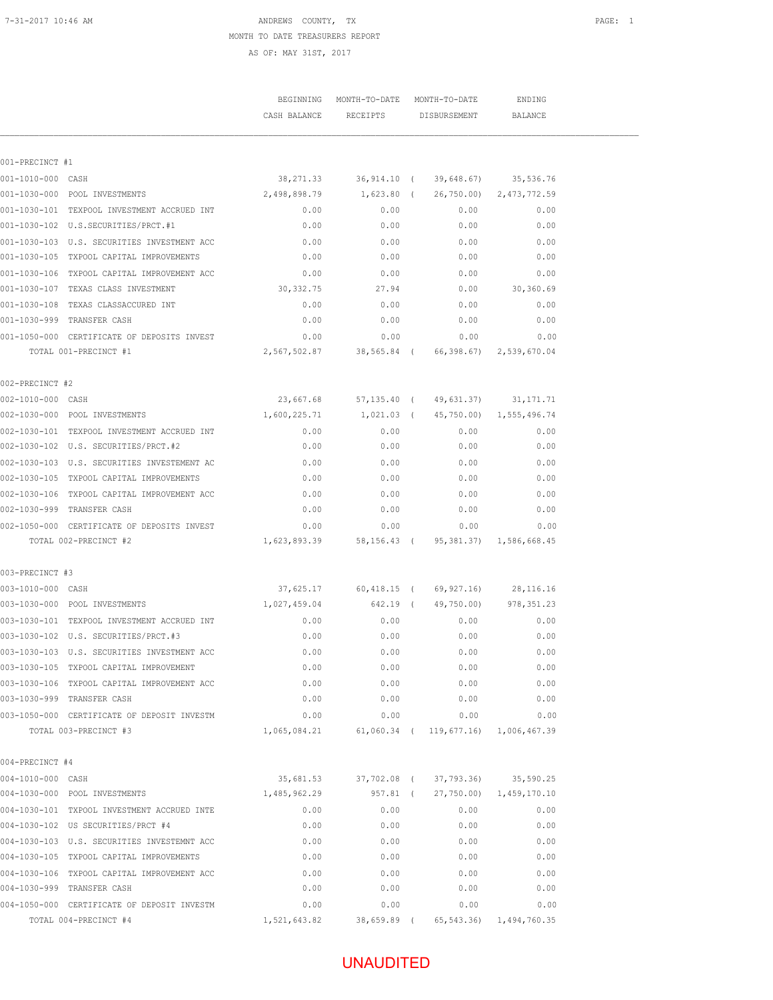#### 7-31-2017 10:46 AM **PAGE:** 1 MONTH TO DATE TREASURERS REPORT AS OF: MAY 31ST, 2017

|                   |                                                  |                                                 | BEGINNING MONTH-TO-DATE MONTH-TO-DATE            |                                            | ENDING                         |  |
|-------------------|--------------------------------------------------|-------------------------------------------------|--------------------------------------------------|--------------------------------------------|--------------------------------|--|
|                   |                                                  | CASH BALANCE                                    |                                                  | RECEIPTS DISBURSEMENT                      | BALANCE                        |  |
|                   |                                                  |                                                 |                                                  |                                            |                                |  |
| 001-PRECINCT #1   |                                                  |                                                 |                                                  |                                            |                                |  |
| 001-1010-000 CASH | 001-1030-000 POOL INVESTMENTS                    | 2,498,898.79                                    | 38, 271.33 36, 914.10 (39, 648.67)               |                                            | 35,536.76                      |  |
|                   | 001-1030-101 TEXPOOL INVESTMENT ACCRUED INT      | 0.00                                            | 0.00                                             | 1,623.80 ( 26,750.00) 2,473,772.59<br>0.00 | 0.00                           |  |
|                   | 001-1030-102 U.S.SECURITIES/PRCT.#1              | 0.00                                            | 0.00                                             | 0.00                                       | 0.00                           |  |
|                   | 001-1030-103 U.S. SECURITIES INVESTMENT ACC      | 0.00                                            | 0.00                                             | 0.00                                       | 0.00                           |  |
|                   | 001-1030-105 TXPOOL CAPITAL IMPROVEMENTS         | 0.00                                            | 0.00                                             | 0.00                                       | 0.00                           |  |
|                   | 0.00 001-1030-106 TXPOOL CAPITAL IMPROVEMENT ACC |                                                 | 0.00                                             | 0.00                                       | 0.00                           |  |
|                   | 001-1030-107 TEXAS CLASS INVESTMENT              | 30, 332.75                                      | 27.94                                            | 0.00                                       | 30,360.69                      |  |
|                   | 001-1030-108 TEXAS CLASSACCURED INT              | 0.00                                            | 0.00                                             | 0.00                                       | 0.00                           |  |
|                   | 001-1030-999 TRANSFER CASH                       | 0.00                                            | 0.00                                             | 0.00                                       | 0.00                           |  |
|                   | 001-1050-000 CERTIFICATE OF DEPOSITS INVEST      | 0.00                                            | 0.00                                             | 0.00                                       | 0.00                           |  |
|                   | TOTAL 001-PRECINCT #1                            |                                                 | 2,567,502.87 38,565.84 ( 66,398.67) 2,539,670.04 |                                            |                                |  |
| 002-PRECINCT #2   |                                                  |                                                 |                                                  |                                            |                                |  |
| 002-1010-000 CASH |                                                  |                                                 | 23,667.68 57,135.40 ( 49,631.37)                 |                                            | 31, 171.71                     |  |
|                   | 002-1030-000 POOL INVESTMENTS                    | 1,600,225.71                                    |                                                  | 1,021.03 ( 45,750.00) 1,555,496.74         |                                |  |
|                   | 002-1030-101 TEXPOOL INVESTMENT ACCRUED INT      | 0.00                                            | 0.00                                             | 0.00                                       | 0.00                           |  |
|                   |                                                  | 0.00                                            | 0.00                                             | 0.00                                       | 0.00                           |  |
|                   | 002-1030-103 U.S. SECURITIES INVESTEMENT AC      | 0.00                                            | 0.00                                             | 0.00                                       | 0.00                           |  |
|                   | 002-1030-105 TXPOOL CAPITAL IMPROVEMENTS         | 0.00                                            | 0.00                                             | 0.00                                       | 0.00                           |  |
|                   | 002-1030-106 TXPOOL CAPITAL IMPROVEMENT ACC      | 0.00                                            | 0.00                                             | 0.00                                       | 0.00                           |  |
|                   | 002-1030-999 TRANSFER CASH                       | 0.00                                            | 0.00                                             | 0.00                                       | 0.00                           |  |
|                   | 002-1050-000 CERTIFICATE OF DEPOSITS INVEST      | 0.00                                            | 0.00                                             | 0.00                                       | 0.00                           |  |
|                   | TOTAL 002-PRECINCT #2                            | 1,623,893.39 58,156.43 (95,381.37) 1,586,668.45 |                                                  |                                            |                                |  |
| 003-PRECINCT #3   |                                                  |                                                 |                                                  |                                            |                                |  |
| 003-1010-000 CASH |                                                  |                                                 | 37,625.17 60,418.15 ( 69,927.16) 28,116.16       |                                            |                                |  |
|                   | 003-1030-000 POOL INVESTMENTS                    | 1,027,459.04                                    |                                                  |                                            | 642.19 ( 49,750.00) 978,351.23 |  |
|                   | 003-1030-101 TEXPOOL INVESTMENT ACCRUED INT      | 0.00                                            | 0.00                                             | 0.00                                       | 0.00                           |  |
|                   |                                                  | 0.00                                            | 0.00                                             | 0.00                                       | 0.00                           |  |
|                   | 003-1030-103 U.S. SECURITIES INVESTMENT ACC      | 0.00                                            | 0.00                                             | 0.00                                       | 0.00                           |  |
|                   | 003-1030-105 TXPOOL CAPITAL IMPROVEMENT          | 0.00                                            | 0.00                                             | 0.00                                       | 0.00                           |  |
|                   | 003-1030-106 TXPOOL CAPITAL IMPROVEMENT ACC      | 0.00                                            | 0.00                                             | 0.00                                       | 0.00                           |  |
|                   | 003-1030-999 TRANSFER CASH                       | 0.00                                            | 0.00                                             | 0.00                                       | 0.00                           |  |
|                   | 003-1050-000 CERTIFICATE OF DEPOSIT INVESTM      | 0.00                                            | 0.00                                             | 0.00                                       | 0.00                           |  |
|                   | TOTAL 003-PRECINCT #3                            | 1,065,084.21                                    |                                                  | 61,060.34 ( 119,677.16) 1,006,467.39       |                                |  |
| 004-PRECINCT #4   |                                                  |                                                 |                                                  |                                            |                                |  |
| 004-1010-000 CASH |                                                  | 35,681.53                                       |                                                  | 37,702.08 ( 37,793.36)                     | 35,590.25                      |  |
|                   | 004-1030-000 POOL INVESTMENTS                    | 1,485,962.29                                    |                                                  | 957.81 ( 27,750.00) 1,459,170.10           |                                |  |
|                   | 004-1030-101 TXPOOL INVESTMENT ACCRUED INTE      | 0.00                                            | 0.00                                             | 0.00                                       | 0.00                           |  |
|                   | 004-1030-102 US SECURITIES/PRCT #4               | 0.00                                            | 0.00                                             | 0.00                                       | 0.00                           |  |
|                   | 004-1030-103 U.S. SECURITIES INVESTEMNT ACC      | 0.00                                            | 0.00                                             | 0.00                                       | 0.00                           |  |
|                   | 004-1030-105 TXPOOL CAPITAL IMPROVEMENTS         | 0.00                                            | 0.00                                             | 0.00                                       | 0.00                           |  |
|                   | 004-1030-106 TXPOOL CAPITAL IMPROVEMENT ACC      | 0.00                                            | 0.00                                             | 0.00                                       | 0.00                           |  |
|                   | 004-1030-999 TRANSFER CASH                       | 0.00                                            | 0.00                                             | 0.00                                       | 0.00                           |  |
|                   | 004-1050-000 CERTIFICATE OF DEPOSIT INVESTM      | 0.00                                            | 0.00                                             | 0.00                                       | 0.00                           |  |
|                   | TOTAL 004-PRECINCT #4                            | 1,521,643.82                                    | 38,659.89 (                                      |                                            | 65, 543.36) 1, 494, 760.35     |  |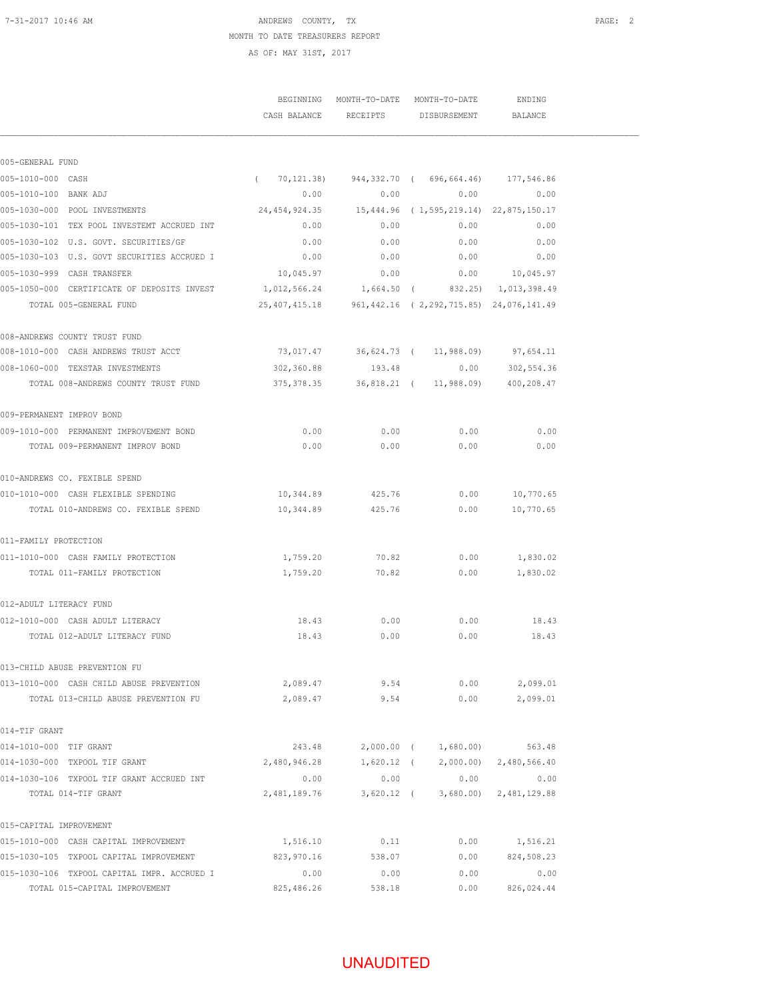#### 7-31-2017 10:46 AM **PAGE: 2** ANDREWS COUNTY, TX MONTH TO DATE TREASURERS REPORT AS OF: MAY 31ST, 2017

|                                                                                         |            |            | BEGINNING MONTH-TO-DATE MONTH-TO-DATE<br>CASH BALANCE RECEIPTS DISBURSEMENT | ENDING<br><b>BALANCE</b> |  |
|-----------------------------------------------------------------------------------------|------------|------------|-----------------------------------------------------------------------------|--------------------------|--|
| 005-GENERAL FUND                                                                        |            |            |                                                                             |                          |  |
| 005-1010-000 CASH                                                                       |            |            | $(70, 121.38)$ 944, 332.70 (696, 664.46) 177, 546.86                        |                          |  |
| 005-1010-100 BANK ADJ                                                                   | 0.00       |            | 0.00                                                                        | 0.00<br>0.00             |  |
| 005-1030-000 POOL INVESTMENTS                                                           |            |            |                                                                             |                          |  |
| 005-1030-101 TEX POOL INVESTEMT ACCRUED INT                                             | 0.00       | 0.00       | 0.00                                                                        | 0.00                     |  |
| 005-1030-102 U.S. GOVT. SECURITIES/GF                                                   | 0.00       | 0.00       | 0.00                                                                        | 0.00                     |  |
| 0.00 005-1030-103 U.S. GOVT SECURITIES ACCRUED I                                        |            | 0.00       |                                                                             | 0.00<br>0.00             |  |
| 005-1030-999 CASH TRANSFER                                                              | 10,045.97  | 0.00       |                                                                             | $0.00$ 10,045.97         |  |
| 005-1050-000 CERTIFICATE OF DEPOSITS INVEST 1,012,566.24 1,664.50 (332.25) 1,013,398.49 |            |            |                                                                             |                          |  |
| TOTAL 005-GENERAL FUND                                                                  |            |            | 25, 407, 415.18 961, 442.16 (2, 292, 715.85) 24, 076, 141.49                |                          |  |
| 008-ANDREWS COUNTY TRUST FUND                                                           |            |            |                                                                             |                          |  |
| 008-1010-000 CASH ANDREWS TRUST ACCT                                                    |            |            | 73,017.47 36,624.73 ( 11,988.09) 97,654.11                                  |                          |  |
| 008-1060-000 TEXSTAR INVESTMENTS                                                        | 302,360.88 |            | 193.48 0.00 302,554.36                                                      |                          |  |
| TOTAL 008-ANDREWS COUNTY TRUST FUND                                                     |            |            | 375, 378.35 36, 818.21 ( 11, 988.09) 400, 208.47                            |                          |  |
| 009-PERMANENT IMPROV BOND                                                               |            |            |                                                                             |                          |  |
| 009-1010-000 PERMANENT IMPROVEMENT BOND                                                 | 0.00       | 0.00       | 0.00                                                                        | 0.00                     |  |
| TOTAL 009-PERMANENT IMPROV BOND                                                         | 0.00       | 0.00       | 0.00                                                                        | 0.00                     |  |
| 010-ANDREWS CO. FEXIBLE SPEND                                                           |            |            |                                                                             |                          |  |
| 010-1010-000 CASH FLEXIBLE SPENDING                                                     | 10,344.89  | 425.76     | 0.00                                                                        | 10,770.65                |  |
| TOTAL 010-ANDREWS CO. FEXIBLE SPEND                                                     | 10,344.89  | 425.76     | 0.00                                                                        | 10,770.65                |  |
| 011-FAMILY PROTECTION                                                                   |            |            |                                                                             |                          |  |
| 011-1010-000 CASH FAMILY PROTECTION                                                     | 1,759.20   | 70.82      | 0.00                                                                        | 1,830.02                 |  |
| TOTAL 011-FAMILY PROTECTION                                                             | 1,759.20   | 70.82      | 0.00                                                                        | 1,830.02                 |  |
| 012-ADULT LITERACY FUND                                                                 |            |            |                                                                             |                          |  |
| 012-1010-000 CASH ADULT LITERACY                                                        | 18.43      | 0.00       | 0.00                                                                        | 18.43                    |  |
| TOTAL 012-ADULT LITERACY FUND                                                           |            | 18.43 0.00 | 0.00                                                                        | 18.43                    |  |
| 013-CHILD ABUSE PREVENTION FU                                                           |            |            |                                                                             |                          |  |
| 013-1010-000 CASH CHILD ABUSE PREVENTION                                                | 2,089.47   | 9.54       | 0.00                                                                        | 2,099.01                 |  |
| TOTAL 013-CHILD ABUSE PREVENTION FU                                                     | 2,089.47   | 9.54       | 0.00                                                                        | 2,099.01                 |  |
| 014-TIF GRANT                                                                           |            |            |                                                                             |                          |  |
| 014-1010-000 TIF GRANT                                                                  |            |            | 243.48 2,000.00 ( 1,680.00) 563.48                                          |                          |  |
| 014-1030-000 TXPOOL TIF GRANT                                                           |            |            |                                                                             |                          |  |
| 014-1030-106 TXPOOL TIF GRANT ACCRUED INT                                               | 0.00       |            | $0.00$ 0.00                                                                 | 0.00                     |  |
| TOTAL 014-TIF GRANT                                                                     |            |            | 2,481,189.76 3,620.12 (3,680.00) 2,481,129.88                               |                          |  |
| 015-CAPITAL IMPROVEMENT                                                                 |            |            |                                                                             |                          |  |
| 015-1010-000 CASH CAPITAL IMPROVEMENT                                                   | 1,516.10   | 0.11       | 0.00                                                                        | 1,516.21                 |  |
| 015-1030-105 TXPOOL CAPITAL IMPROVEMENT                                                 | 823,970.16 | 538.07     | 0.00                                                                        | 824,508.23               |  |
| 015-1030-106 TXPOOL CAPITAL IMPR. ACCRUED I                                             | 0.00       | 0.00       | 0.00                                                                        | 0.00                     |  |
| TOTAL 015-CAPITAL IMPROVEMENT                                                           | 825,486.26 | 538.18     | 0.00                                                                        | 826,024.44               |  |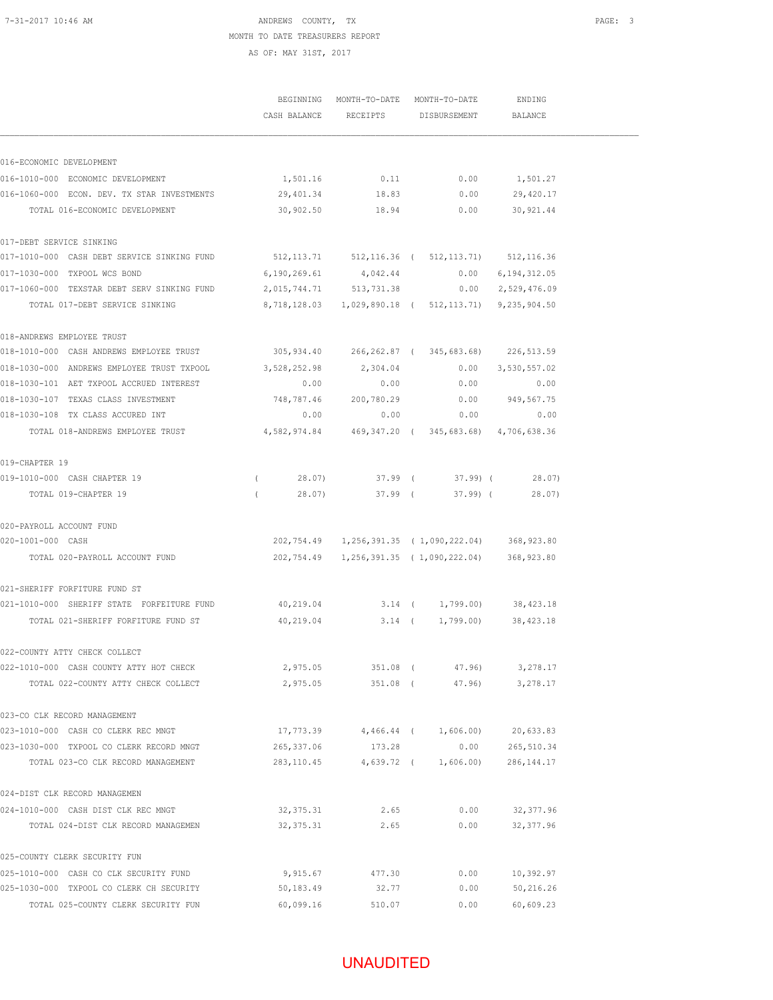# UNAUDITED

|                                             | CASH BALANCE            | RECEIPTS   | DISBURSEMENT                                                   | BALANCE        |
|---------------------------------------------|-------------------------|------------|----------------------------------------------------------------|----------------|
| 016-ECONOMIC DEVELOPMENT                    |                         |            |                                                                |                |
| 016-1010-000 ECONOMIC DEVELOPMENT           | 1,501.16                | 0.11       | 0.00                                                           | 1,501.27       |
| 016-1060-000 ECON. DEV. TX STAR INVESTMENTS | 29,401.34               | 18.83      | 0.00                                                           | 29,420.17      |
| TOTAL 016-ECONOMIC DEVELOPMENT              | 30,902.50               | 18.94      | 0.00                                                           | 30, 921.44     |
| 017-DEBT SERVICE SINKING                    |                         |            |                                                                |                |
| 017-1010-000 CASH DEBT SERVICE SINKING FUND |                         |            | 512, 113.71 512, 116.36 (512, 113.71) 512, 116.36              |                |
| 017-1030-000 TXPOOL WCS BOND                | 6,190,269.61            | 4,042.44   | 0.00                                                           | 6, 194, 312.05 |
| 017-1060-000 TEXSTAR DEBT SERV SINKING FUND | 2,015,744.71 513,731.38 |            | 0.00                                                           | 2,529,476.09   |
| TOTAL 017-DEBT SERVICE SINKING              | 8,718,128.03            |            | 1,029,890.18 ( 512,113.71)                                     | 9,235,904.50   |
| 018-ANDREWS EMPLOYEE TRUST                  |                         |            |                                                                |                |
| 018-1010-000 CASH ANDREWS EMPLOYEE TRUST    |                         |            | 305,934.40 266,262.87 (345,683.68) 226,513.59                  |                |
| 018-1030-000 ANDREWS EMPLOYEE TRUST TXPOOL  | 3,528,252.98            | 2,304.04   | 0.00                                                           | 3,530,557.02   |
| 018-1030-101 AET TXPOOL ACCRUED INTEREST    | 0.00                    | 0.00       | 0.00                                                           | 0.00           |
| 018-1030-107 TEXAS CLASS INVESTMENT         | 748,787.46              | 200,780.29 | 0.00                                                           | 949,567.75     |
| 018-1030-108 TX CLASS ACCURED INT           | 0.00                    | 0.00       | 0.00                                                           | 0.00           |
| TOTAL 018-ANDREWS EMPLOYEE TRUST            | 4,582,974.84            |            | 469, 347.20 (345, 683.68) 4, 706, 638.36                       |                |
| 019-CHAPTER 19                              |                         |            |                                                                |                |
| 019-1010-000 CASH CHAPTER 19                | 28.07)<br>$\left($      |            | $37.99$ ( $37.99$ ) (                                          | 28.07)         |
| TOTAL 019-CHAPTER 19                        | 28.07)<br>$\left($      |            | $37.99$ (<br>37.99 (                                           | 28.07)         |
| 020-PAYROLL ACCOUNT FUND                    |                         |            |                                                                |                |
| 020-1001-000 CASH                           |                         |            | 202, 754.49   1, 256, 391.35   ( 1, 090, 222.04)   368, 923.80 |                |
| TOTAL 020-PAYROLL ACCOUNT FUND              |                         |            | 202,754.49 1,256,391.35 (1,090,222.04)                         | 368,923.80     |
| 021-SHERIFF FORFITURE FUND ST               |                         |            |                                                                |                |
| 021-1010-000 SHERIFF STATE FORFEITURE FUND  | 40,219.04               |            | 3.14 ( 1,799.00)                                               | 38,423.18      |
| TOTAL 021-SHERIFF FORFITURE FUND ST         | 40,219.04               |            | $3.14$ ( $1,799.00$ )                                          | 38,423.18      |
| 022-COUNTY ATTY CHECK COLLECT               |                         |            |                                                                |                |
| 022-1010-000 CASH COUNTY ATTY HOT CHECK     | 2,975.05                |            | 351.08 (47.96)                                                 | 3,278.17       |
| TOTAL 022-COUNTY ATTY CHECK COLLECT         | 2,975.05                | 351.08 (   | 47.96)                                                         | 3,278.17       |
| 023-CO CLK RECORD MANAGEMENT                |                         |            |                                                                |                |
| 023-1010-000 CASH CO CLERK REC MNGT         |                         |            | 17,773.39 4,466.44 ( 1,606.00)                                 | 20,633.83      |
| 023-1030-000 TXPOOL CO CLERK RECORD MNGT    | 265, 337.06             | 173.28     | 0.00                                                           | 265,510.34     |
| TOTAL 023-CO CLK RECORD MANAGEMENT          | 283, 110.45             | 4,639.72 ( | 1,606.00)                                                      | 286, 144. 17   |
| 024-DIST CLK RECORD MANAGEMEN               |                         |            |                                                                |                |
| 024-1010-000 CASH DIST CLK REC MNGT         | 32, 375.31              | 2.65       | 0.00                                                           | 32, 377.96     |
| TOTAL 024-DIST CLK RECORD MANAGEMEN         | 32, 375.31              | 2.65       | 0.00                                                           | 32, 377.96     |
| 025-COUNTY CLERK SECURITY FUN               |                         |            |                                                                |                |
| 025-1010-000 CASH CO CLK SECURITY FUND      | 9,915.67                | 477.30     | 0.00                                                           | 10,392.97      |
| 025-1030-000 TXPOOL CO CLERK CH SECURITY    | 50,183.49               | 32.77      | 0.00                                                           | 50,216.26      |
| TOTAL 025-COUNTY CLERK SECURITY FUN         | 60,099.16               | 510.07     | 0.00                                                           | 60,609.23      |

MONTH TO DATE TREASURERS REPORT AS OF: MAY 31ST, 2017

BEGINNING MONTH-TO-DATE MONTH-TO-DATE ENDING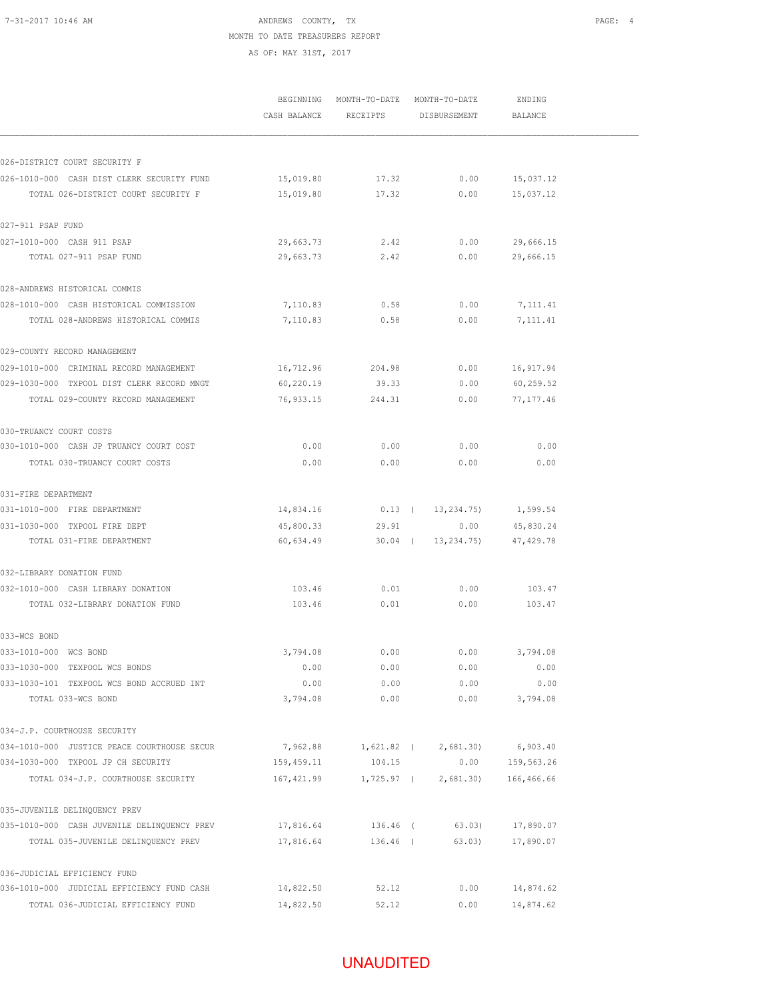## 7-31-2017 10:46 AM **PAGE:** 4 MONTH TO DATE TREASURERS REPORT

AS OF: MAY 31ST, 2017

|                                                                      | BEGINNING MONTH-TO-DATE MONTH-TO-DATE |            | ENDING                 |            |  |
|----------------------------------------------------------------------|---------------------------------------|------------|------------------------|------------|--|
|                                                                      | CASH BALANCE                          | RECEIPTS   | DISBURSEMENT           | BALANCE    |  |
|                                                                      |                                       |            |                        |            |  |
| 026-DISTRICT COURT SECURITY F                                        |                                       |            |                        |            |  |
| 026-1010-000 CASH DIST CLERK SECURITY FUND                           | 15,019.80                             | 17.32      | 0.00                   | 15,037.12  |  |
| TOTAL 026-DISTRICT COURT SECURITY F                                  | 15,019.80                             | 17.32      | 0.00                   | 15,037.12  |  |
| 027-911 PSAP FUND                                                    |                                       |            |                        |            |  |
| 027-1010-000 CASH 911 PSAP                                           | 29,663.73                             | 2.42       | 0.00                   | 29,666.15  |  |
| TOTAL 027-911 PSAP FUND                                              | 29,663.73                             | 2.42       | 0.00                   | 29,666.15  |  |
| 028-ANDREWS HISTORICAL COMMIS                                        |                                       |            |                        |            |  |
| 028-1010-000 CASH HISTORICAL COMMISSION                              | 7,110.83                              | 0.58       | 0.00                   | 7,111.41   |  |
| TOTAL 028-ANDREWS HISTORICAL COMMIS                                  | 7,110.83                              | 0.58       | 0.00                   | 7, 111.41  |  |
| 029-COUNTY RECORD MANAGEMENT                                         |                                       |            |                        |            |  |
| 029-1010-000 CRIMINAL RECORD MANAGEMENT                              | 16,712.96                             | 204.98     | 0.00                   | 16,917.94  |  |
| 029-1030-000 TXPOOL DIST CLERK RECORD MNGT                           | 60,220.19                             | 39.33      | 0.00                   | 60,259.52  |  |
| TOTAL 029-COUNTY RECORD MANAGEMENT                                   | 76,933.15                             | 244.31     | 0.00                   | 77, 177.46 |  |
| 030-TRUANCY COURT COSTS                                              |                                       |            |                        |            |  |
| 030-1010-000 CASH JP TRUANCY COURT COST                              | 0.00                                  | 0.00       | 0.00                   | 0.00       |  |
| TOTAL 030-TRUANCY COURT COSTS                                        | 0.00                                  | 0.00       | 0.00                   | 0.00       |  |
| 031-FIRE DEPARTMENT                                                  |                                       |            |                        |            |  |
| 031-1010-000 FIRE DEPARTMENT                                         | 14,834.16                             |            | $0.13$ ( $13,234.75$ ) | 1,599.54   |  |
| 031-1030-000 TXPOOL FIRE DEPT                                        | 45,800.33                             | 29.91      | 0.00                   | 45,830.24  |  |
| TOTAL 031-FIRE DEPARTMENT                                            | 60,634.49                             | $30.04$ (  | 13,234.75)             | 47,429.78  |  |
| 032-LIBRARY DONATION FUND                                            |                                       |            |                        |            |  |
| 032-1010-000 CASH LIBRARY DONATION                                   | 103.46                                | 0.01       | 0.00                   | 103.47     |  |
| TOTAL 032-LIBRARY DONATION FUND                                      | 103.46                                | 0.01       | 0.00                   | 103.47     |  |
| 033-WCS BOND                                                         |                                       |            |                        |            |  |
| 033-1010-000 WCS BOND                                                | 3,794.08                              | 0.00       | 0.00                   | 3,794.08   |  |
| 033-1030-000 TEXPOOL WCS BONDS                                       | 0.00                                  | 0.00       | 0.00                   | 0.00       |  |
| 033-1030-101 TEXPOOL WCS BOND ACCRUED INT                            | 0.00                                  | 0.00       | 0.00                   | 0.00       |  |
| TOTAL 033-WCS BOND                                                   | 3,794.08                              | 0.00       | 0.00                   | 3,794.08   |  |
| 034-J.P. COURTHOUSE SECURITY                                         |                                       |            |                        |            |  |
| 034-1010-000 JUSTICE PEACE COURTHOUSE SECUR                          | 7,962.88                              |            | 1,621.82 ( 2,681.30)   | 6,903.40   |  |
| 034-1030-000 TXPOOL JP CH SECURITY                                   | 159,459.11                            | 104.15     | 0.00                   | 159,563.26 |  |
| TOTAL 034-J.P. COURTHOUSE SECURITY                                   | 167,421.99                            | 1,725.97 ( | 2,681.30)              | 166,466.66 |  |
| 035-JUVENILE DELINQUENCY PREV                                        |                                       |            |                        |            |  |
| 035-1010-000 CASH JUVENILE DELINQUENCY PREV 17,816.64 136.46 (63.03) |                                       |            |                        | 17,890.07  |  |
| TOTAL 035-JUVENILE DELINQUENCY PREV                                  | 17,816.64                             | 136.46 (   | 63.03)                 | 17,890.07  |  |
| 036-JUDICIAL EFFICIENCY FUND                                         |                                       |            |                        |            |  |
| 036-1010-000 JUDICIAL EFFICIENCY FUND CASH                           | 14,822.50                             | 52.12      | 0.00                   | 14,874.62  |  |
| TOTAL 036-JUDICIAL EFFICIENCY FUND                                   | 14,822.50                             | 52.12      | 0.00                   | 14,874.62  |  |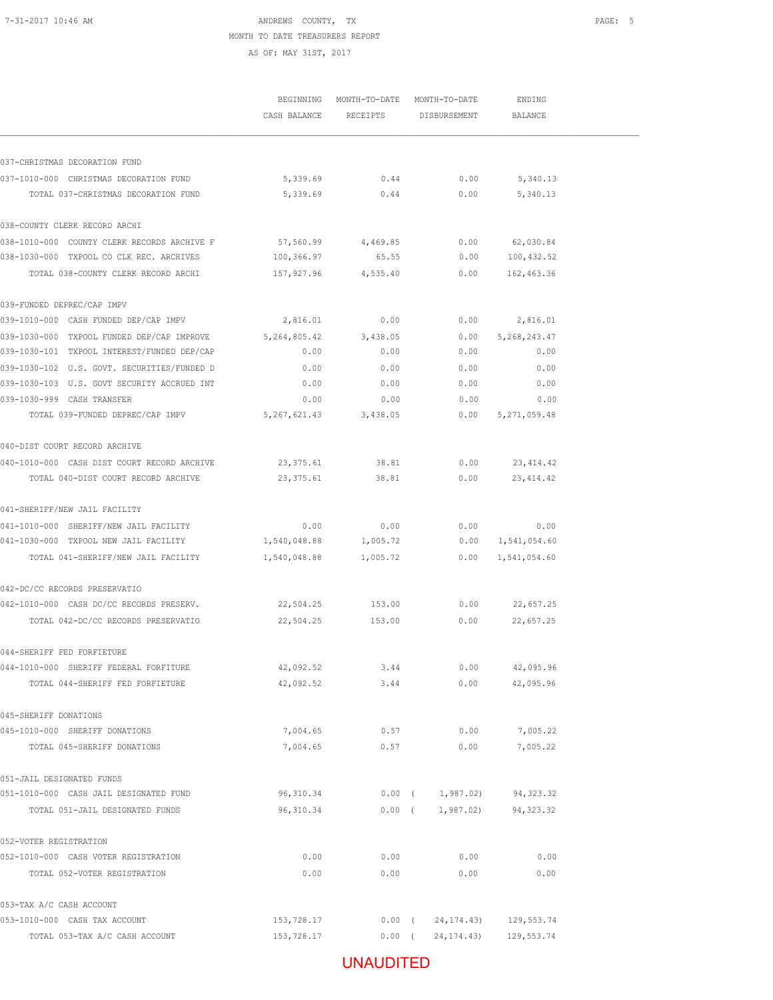## UNAUDITED

|                                             | CASH BALANCE RECEIPTS |          | DISBURSEMENT | BALANCE        |
|---------------------------------------------|-----------------------|----------|--------------|----------------|
| 037-CHRISTMAS DECORATION FUND               |                       |          |              |                |
| 037-1010-000 CHRISTMAS DECORATION FUND      | 5,339.69              | 0.44     | 0.00         | 5,340.13       |
| TOTAL 037-CHRISTMAS DECORATION FUND         | 5,339.69              | 0.44     | 0.00         | 5,340.13       |
| 038-COUNTY CLERK RECORD ARCHI               |                       |          |              |                |
| 038-1010-000 COUNTY CLERK RECORDS ARCHIVE F | 57,560.99             | 4,469.85 | 0.00         | 62,030.84      |
| 038-1030-000 TXPOOL CO CLK REC. ARCHIVES    | 100,366.97            | 65.55    | 0.00         | 100,432.52     |
| TOTAL 038-COUNTY CLERK RECORD ARCHI         | 157,927.96            | 4,535.40 | 0.00         | 162,463.36     |
| 039-FUNDED DEPREC/CAP IMPV                  |                       |          |              |                |
| 039-1010-000 CASH FUNDED DEP/CAP IMPV       | 2,816.01              | 0.00     | 0.00         | 2,816.01       |
| 039-1030-000 TXPOOL FUNDED DEP/CAP IMPROVE  | 5,264,805.42          | 3,438.05 | 0.00         | 5, 268, 243.47 |
| 039-1030-101 TXPOOL INTEREST/FUNDED DEP/CAP | 0.00                  | 0.00     | 0.00         | 0.00           |
| 039-1030-102 U.S. GOVT. SECURITIES/FUNDED D | 0.00                  | 0.00     | 0.00         | 0.00           |
| 039-1030-103 U.S. GOVT SECURITY ACCRUED INT | 0.00                  | 0.00     | 0.00         | 0.00           |
| 039-1030-999 CASH TRANSFER                  | 0.00                  | 0.00     | 0.00         | 0.00           |
| TOTAL 039-FUNDED DEPREC/CAP IMPV            | 5,267,621.43          | 3,438.05 | 0.00         | 5, 271, 059.48 |
| 040-DIST COURT RECORD ARCHIVE               |                       |          |              |                |
| 040-1010-000 CASH DIST COURT RECORD ARCHIVE | 23,375.61             | 38.81    | 0.00         | 23, 414.42     |
| TOTAL 040-DIST COURT RECORD ARCHIVE         | 23,375.61             | 38.81    | 0.00         | 23, 414.42     |
| 041-SHERIFF/NEW JAIL FACILITY               |                       |          |              |                |
| 041-1010-000 SHERIFF/NEW JAIL FACILITY      | 0.00                  | 0.00     | 0.00         | 0.00           |
| 041-1030-000 TXPOOL NEW JAIL FACILITY       | 1,540,048.88          | 1,005.72 | 0.00         | 1,541,054.60   |
| TOTAL 041-SHERIFF/NEW JAIL FACILITY         | 1,540,048.88          | 1,005.72 | 0.00         | 1,541,054.60   |
| 042-DC/CC RECORDS PRESERVATIO               |                       |          |              |                |
| 042-1010-000 CASH DC/CC RECORDS PRESERV.    | 22,504.25             | 153.00   | 0.00         | 22,657.25      |
| TOTAL 042-DC/CC RECORDS PRESERVATIO         | 22,504.25             | 153.00   | 0.00         | 22,657.25      |
| 044-SHERIFF FED FORFIETURE                  |                       |          |              |                |
| 044-1010-000 SHERIFF FEDERAL FORFITURE      | 42,092.52             | 3.44     | 0.00         | 42,095.96      |
| TOTAL 044-SHERIFF FED FORFIETURE            | 42,092.52             | 3.44     | 0.00         | 42,095.96      |
| 045-SHERIFF DONATIONS                       |                       |          |              |                |
| 045-1010-000 SHERIFF DONATIONS              | 7,004.65              | 0.57     | 0.00         | 7,005.22       |
| TOTAL 045-SHERIFF DONATIONS                 | 7,004.65              | 0.57     | 0.00         | 7,005.22       |
| 051-JAIL DESIGNATED FUNDS                   |                       |          |              |                |
| 051-1010-000 CASH JAIL DESIGNATED FUND      | 96,310.34             | $0.00$ ( | 1,987.02)    | 94, 323.32     |
| TOTAL 051-JAIL DESIGNATED FUNDS             | 96, 310.34            | $0.00$ ( | 1,987.02)    | 94, 323.32     |
| 052-VOTER REGISTRATION                      |                       |          |              |                |
| 052-1010-000 CASH VOTER REGISTRATION        | 0.00                  | 0.00     | 0.00         | 0.00           |
| TOTAL 052-VOTER REGISTRATION                | 0.00                  | 0.00     | 0.00         | 0.00           |
| 053-TAX A/C CASH ACCOUNT                    |                       |          |              |                |
| 053-1010-000 CASH TAX ACCOUNT               | 153,728.17            | $0.00$ ( | 24, 174. 43) | 129,553.74     |
| TOTAL 053-TAX A/C CASH ACCOUNT              | 153,728.17            | $0.00$ ( | 24, 174. 43) | 129, 553.74    |

MONTH TO DATE TREASURERS REPORT AS OF: MAY 31ST, 2017

BEGINNING MONTH-TO-DATE MONTH-TO-DATE ENDING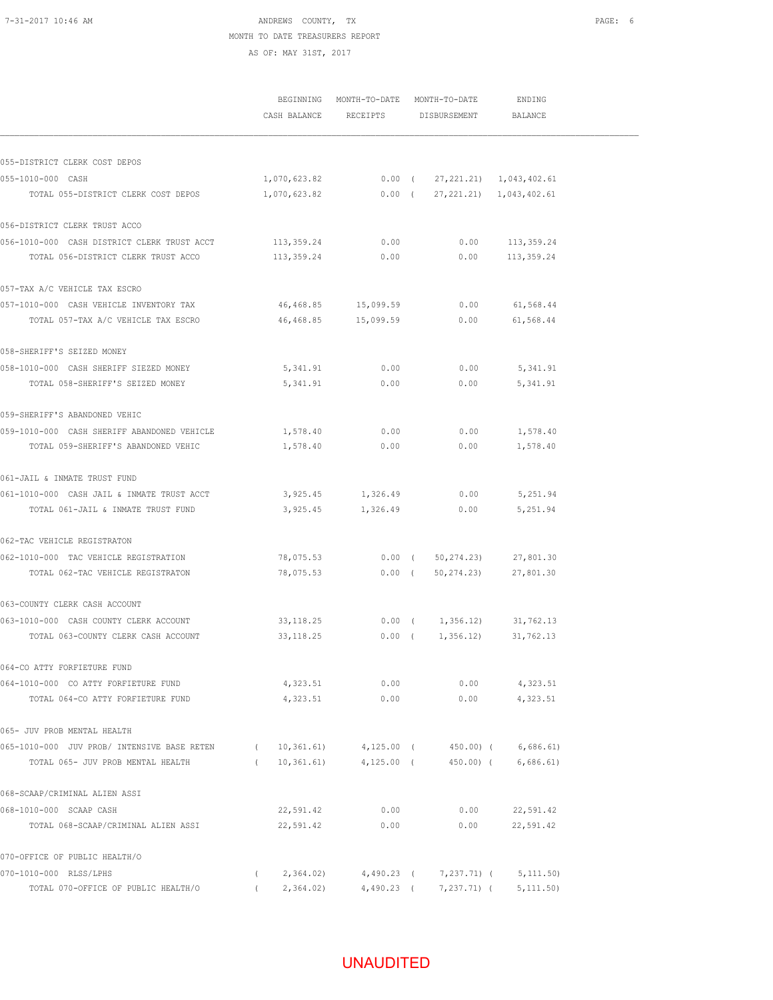#### 7-31-2017 10:46 AM **PAGE:** 6 MONTH TO DATE TREASURERS REPORT AS OF: MAY 31ST, 2017

|                                             |                       |                                                    | BEGINNING MONTH-TO-DATE MONTH-TO-DATE<br>CASH BALANCE RECEIPTS DISBURSEMENT BALANCE |                       | ENDING                                   |  |
|---------------------------------------------|-----------------------|----------------------------------------------------|-------------------------------------------------------------------------------------|-----------------------|------------------------------------------|--|
|                                             |                       |                                                    |                                                                                     |                       |                                          |  |
|                                             |                       |                                                    |                                                                                     |                       |                                          |  |
| 055-DISTRICT CLERK COST DEPOS               |                       |                                                    |                                                                                     |                       |                                          |  |
| 055-1010-000 CASH                           |                       | $1,070,623.82$ 0.00 ( $27,221.21$ ) $1,043,402.61$ |                                                                                     |                       |                                          |  |
| TOTAL 055-DISTRICT CLERK COST DEPOS         |                       |                                                    |                                                                                     |                       |                                          |  |
| 056-DISTRICT CLERK TRUST ACCO               |                       |                                                    |                                                                                     |                       |                                          |  |
| 056-1010-000 CASH DISTRICT CLERK TRUST ACCT | 113,359.24            | 0.00                                               |                                                                                     | 0.00                  | 113,359.24                               |  |
| TOTAL 056-DISTRICT CLERK TRUST ACCO         | 113,359.24            | 0.00                                               |                                                                                     |                       | $0.00$ 113,359.24                        |  |
| 057-TAX A/C VEHICLE TAX ESCRO               |                       |                                                    |                                                                                     |                       |                                          |  |
| 057-1010-000 CASH VEHICLE INVENTORY TAX     |                       | 46,468.85 15,099.59                                |                                                                                     | 0.00                  | 61,568.44                                |  |
| TOTAL 057-TAX A/C VEHICLE TAX ESCRO         |                       | 46,468.85 15,099.59 0.00                           |                                                                                     |                       | 61,568.44                                |  |
| 058-SHERIFF'S SEIZED MONEY                  |                       |                                                    |                                                                                     |                       |                                          |  |
| 058-1010-000 CASH SHERIFF SIEZED MONEY      | 5,341.91              | 0.00                                               |                                                                                     | 0.00                  | 5,341.91                                 |  |
| TOTAL 058-SHERIFF'S SEIZED MONEY            | 5,341.91              | 0.00                                               |                                                                                     | 0.00                  | 5,341.91                                 |  |
| 059-SHERIFF'S ABANDONED VEHIC               |                       |                                                    |                                                                                     |                       |                                          |  |
| 059-1010-000 CASH SHERIFF ABANDONED VEHICLE | 1,578.40              | 0.00                                               |                                                                                     | 0.00                  | 1,578.40                                 |  |
| TOTAL 059-SHERIFF'S ABANDONED VEHIC         | 1,578.40              | 0.00                                               |                                                                                     | 0.00                  | 1,578.40                                 |  |
| 061-JAIL & INMATE TRUST FUND                |                       |                                                    |                                                                                     |                       |                                          |  |
| 061-1010-000 CASH JAIL & INMATE TRUST ACCT  |                       | 3,925.45 1,326.49 0.00                             |                                                                                     |                       | 5,251.94                                 |  |
| TOTAL 061-JAIL & INMATE TRUST FUND          |                       | 3,925.45 1,326.49 0.00                             |                                                                                     |                       | 5,251.94                                 |  |
| 062-TAC VEHICLE REGISTRATON                 |                       |                                                    |                                                                                     |                       |                                          |  |
| 062-1010-000 TAC VEHICLE REGISTRATION       | 78,075.53             |                                                    |                                                                                     |                       | $0.00$ ( $50,274.23$ ) 27,801.30         |  |
| TOTAL 062-TAC VEHICLE REGISTRATON           | 78,075.53             |                                                    |                                                                                     |                       | $0.00$ ( $50,274.23$ ) 27,801.30         |  |
| 063-COUNTY CLERK CASH ACCOUNT               |                       |                                                    |                                                                                     |                       |                                          |  |
| 063-1010-000 CASH COUNTY CLERK ACCOUNT      | 33, 118.25            |                                                    |                                                                                     |                       | $0.00$ ( $1,356.12$ ) 31,762.13          |  |
| TOTAL 063-COUNTY CLERK CASH ACCOUNT         | 33, 118. 25           |                                                    |                                                                                     | $0.00$ ( $1,356.12$ ) | 31,762.13                                |  |
| 064-CO ATTY FORFIETURE FUND                 |                       |                                                    |                                                                                     |                       |                                          |  |
| 064-1010-000 CO ATTY FORFIETURE FUND        | 4,323.51              | 0.00                                               |                                                                                     | 0.00                  | 4,323.51                                 |  |
| TOTAL 064-CO ATTY FORFIETURE FUND           | 4,323.51              | 0.00                                               |                                                                                     | 0.00                  | 4,323.51                                 |  |
| 065- JUV PROB MENTAL HEALTH                 |                       |                                                    |                                                                                     |                       |                                          |  |
| 065-1010-000 JUV PROB/ INTENSIVE BASE RETEN | $\sqrt{2}$            | $10,361.61$ $4,125.00$ (                           |                                                                                     | 450.00) (             | 6,686.61)                                |  |
| TOTAL 065- JUV PROB MENTAL HEALTH           | (10, 361.61)          | $4,125.00$ (                                       |                                                                                     | 450.00) (             | 6,686.61)                                |  |
| 068-SCAAP/CRIMINAL ALIEN ASSI               |                       |                                                    |                                                                                     |                       |                                          |  |
| 068-1010-000 SCAAP CASH                     | 22,591.42             | 0.00                                               |                                                                                     | 0.00                  | 22,591.42                                |  |
| TOTAL 068-SCAAP/CRIMINAL ALIEN ASSI         | 22,591.42             | 0.00                                               |                                                                                     | 0.00                  | 22,591.42                                |  |
| 070-OFFICE OF PUBLIC HEALTH/O               |                       |                                                    |                                                                                     |                       |                                          |  |
| 070-1010-000 RLSS/LPHS                      | 2,364.02)<br>$\left($ |                                                    |                                                                                     |                       | $4,490.23$ ( $7,237.71$ ) ( $5,111.50$ ) |  |
| TOTAL 070-OFFICE OF PUBLIC HEALTH/O         | 2,364.02)             |                                                    |                                                                                     |                       | $4,490.23$ ( $7,237.71$ ) ( $5,111.50$ ) |  |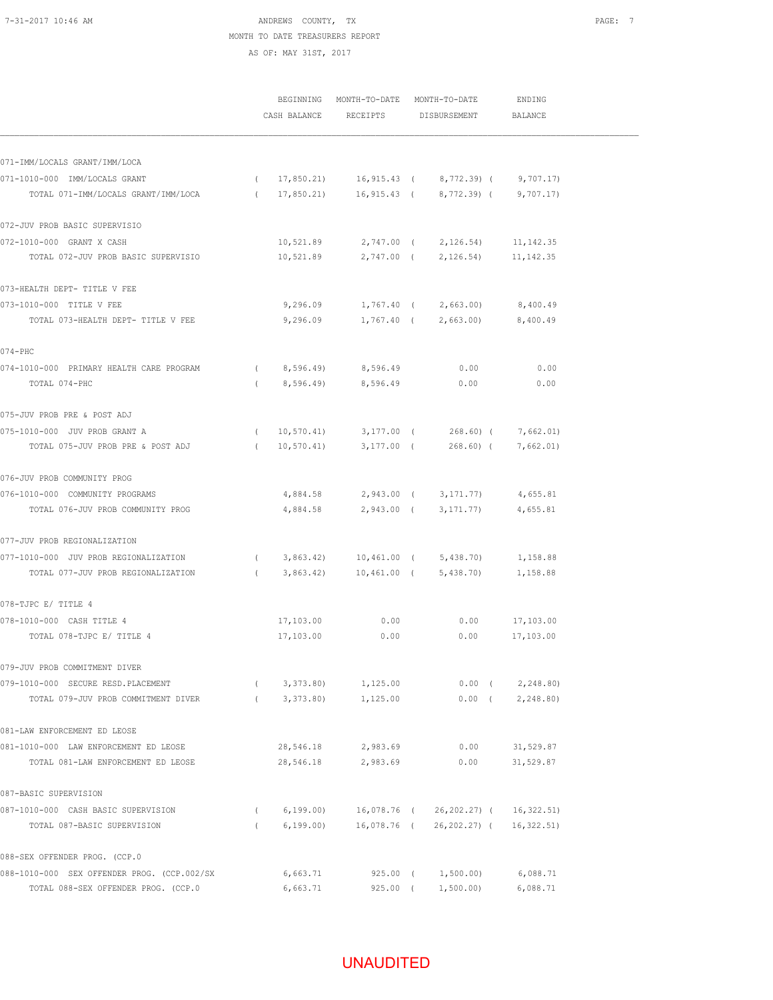#### 7-31-2017 10:46 AM **PAGE:** 7 MONTH TO DATE TREASURERS REPORT AS OF: MAY 31ST, 2017

|                                                                                                    |            |               | BEGINNING MONTH-TO-DATE MONTH-TO-DATE |                                                     | ENDING                |  |
|----------------------------------------------------------------------------------------------------|------------|---------------|---------------------------------------|-----------------------------------------------------|-----------------------|--|
|                                                                                                    |            |               | CASH BALANCE RECEIPTS DISBURSEMENT    |                                                     | BALANCE               |  |
|                                                                                                    |            |               |                                       |                                                     |                       |  |
| 071-IMM/LOCALS GRANT/IMM/LOCA                                                                      |            |               |                                       |                                                     |                       |  |
| 071-1010-000 IMM/LOCALS GRANT                                                                      |            |               |                                       | $(17,850.21)$ $16,915.43$ $(8,772.39)$ $(9,707.17)$ |                       |  |
| TOTAL 071-IMM/LOCALS GRANT/IMM/LOCA (17,850.21) 16,915.43 (8,772.39) (9,707.17)                    |            |               |                                       |                                                     |                       |  |
| 072-JUV PROB BASIC SUPERVISIO                                                                      |            |               |                                       |                                                     |                       |  |
| 072-1010-000 GRANT X CASH                                                                          |            | 10,521.89     |                                       | 2,747.00 ( 2,126.54)                                | 11,142.35             |  |
| TOTAL 072-JUV PROB BASIC SUPERVISIO                                                                |            | 10,521.89     |                                       | 2,747.00 ( 2,126.54)                                | 11,142.35             |  |
| 073-HEALTH DEPT- TITLE V FEE                                                                       |            |               |                                       |                                                     |                       |  |
| 073-1010-000 TITLE V FEE                                                                           |            | 9,296.09      |                                       | 1,767.40 ( 2,663.00)                                | 8,400.49              |  |
| TOTAL 073-HEALTH DEPT- TITLE V FEE                                                                 |            | 9,296.09      |                                       | 1,767.40 ( 2,663.00) 8,400.49                       |                       |  |
| 074-PHC                                                                                            |            |               |                                       |                                                     |                       |  |
| 074-1010-000 PRIMARY HEALTH CARE PROGRAM        (   8,596.49)     8,596.49                         |            |               |                                       | 0.00                                                | 0.00                  |  |
| TOTAL 074-PHC                                                                                      |            |               | $(8,596.49)$ $8,596.49$ 0.00          |                                                     | 0.00                  |  |
| 075-JUV PROB PRE & POST ADJ                                                                        |            |               |                                       |                                                     |                       |  |
| 075-1010-000 JUV PROB GRANT A                                                                      |            |               |                                       | $(10,570.41)$ $3,177.00$ $(268.60)$ $(7,662.01)$    |                       |  |
| TOTAL 075-JUV PROB PRE & POST ADJ                                                                  |            | (10, 570, 41) | 3,177.00 (                            | 268.60) ( 7,662.01)                                 |                       |  |
| 076-JUV PROB COMMUNITY PROG                                                                        |            |               |                                       |                                                     |                       |  |
| 076-1010-000 COMMUNITY PROGRAMS                                                                    |            | 4,884.58      |                                       | 2,943.00 ( 3,171.77)                                | 4,655.81              |  |
| TOTAL 076-JUV PROB COMMUNITY PROG                                                                  |            |               |                                       | 4,884.58 2,943.00 ( 3,171.77) 4,655.81              |                       |  |
| 077-JUV PROB REGIONALIZATION                                                                       |            |               |                                       |                                                     |                       |  |
| 077-1010-000 JUV PROB REGIONALIZATION         (   3,863.42)    10,461.00 (   5,438.70)    1,158.88 |            |               |                                       |                                                     |                       |  |
| TOTAL 077-JUV PROB REGIONALIZATION (3,863.42) 10,461.00 (5,438.70) 1,158.88                        |            |               |                                       |                                                     |                       |  |
| 078-TJPC E/ TITLE 4                                                                                |            |               |                                       |                                                     |                       |  |
| 078-1010-000 CASH TITLE 4                                                                          |            | 17,103.00     | 0.00                                  | 0.00                                                | 17,103.00             |  |
| TOTAL 078-TJPC E/ TITLE 4                                                                          |            | 17,103.00     | 0.00                                  | 0.00                                                | 17,103.00             |  |
| 079-JUV PROB COMMITMENT DIVER                                                                      |            |               |                                       |                                                     |                       |  |
| 079-1010-000 SECURE RESD.PLACEMENT                                                                 | $\sqrt{2}$ | 3,373.80)     | 1,125.00                              |                                                     | $0.00$ ( $2,248.80$ ) |  |
| TOTAL 079-JUV PROB COMMITMENT DIVER                                                                | $\sqrt{2}$ | 3,373.80)     | 1,125.00                              | $0.00$ (                                            | 2,248.80)             |  |
| 081-LAW ENFORCEMENT ED LEOSE                                                                       |            |               |                                       |                                                     |                       |  |
| 081-1010-000 LAW ENFORCEMENT ED LEOSE                                                              |            | 28,546.18     | 2,983.69                              | 0.00                                                | 31,529.87             |  |
| TOTAL 081-LAW ENFORCEMENT ED LEOSE                                                                 |            | 28,546.18     | 2,983.69                              | 0.00                                                | 31,529.87             |  |
| 087-BASIC SUPERVISION                                                                              |            |               |                                       |                                                     |                       |  |
| 087-1010-000 CASH BASIC SUPERVISION                                                                | $\sqrt{2}$ | 6,199.00)     |                                       | 16,078.76 ( 26,202.27) ( 16,322.51)                 |                       |  |
| TOTAL 087-BASIC SUPERVISION                                                                        | $\sqrt{2}$ | 6,199.00)     |                                       | 16,078.76 ( 26,202.27) ( 16,322.51)                 |                       |  |
| 088-SEX OFFENDER PROG. (CCP.0                                                                      |            |               |                                       |                                                     |                       |  |
| 088-1010-000 SEX OFFENDER PROG. (CCP.002/SX                                                        |            | 6,663.71      | 925.00 (                              | 1,500.00)                                           | 6,088.71              |  |
| TOTAL 088-SEX OFFENDER PROG. (CCP.0                                                                |            | 6,663.71      |                                       | 925.00 ( 1,500.00)                                  | 6,088.71              |  |